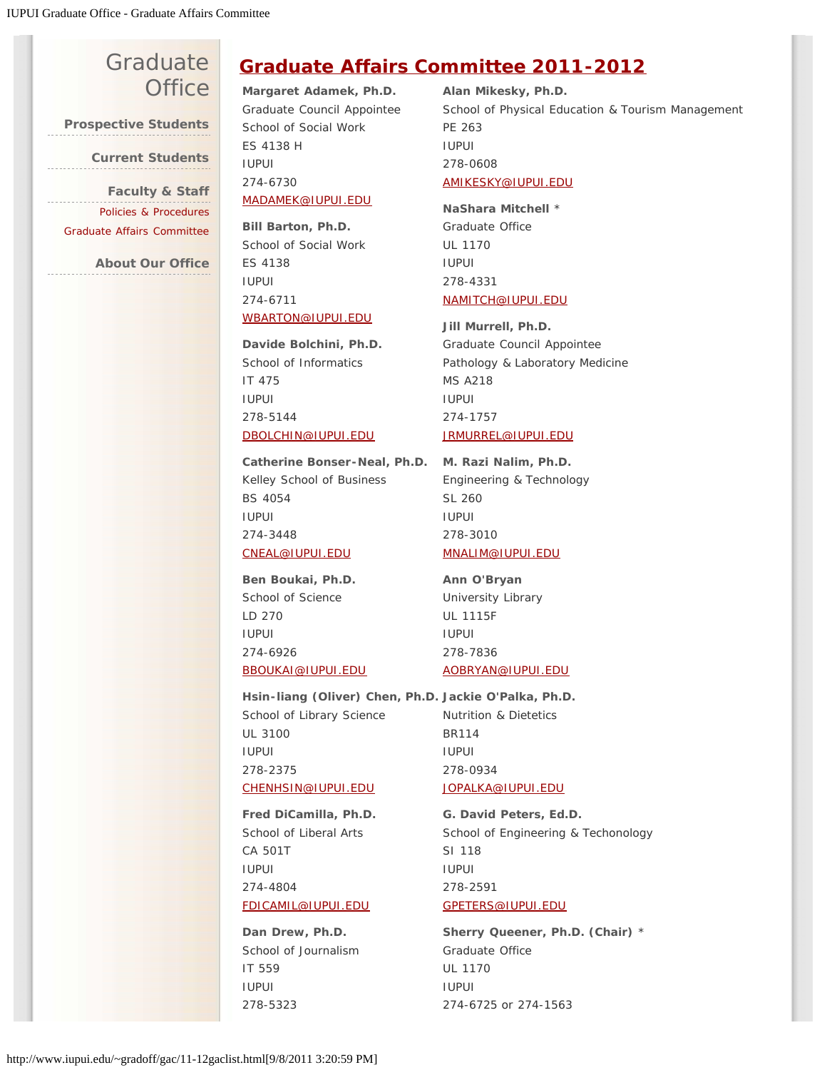## **[Graduate](http://www.iupui.edu/~gradoff/index.html) [Office](http://www.iupui.edu/~gradoff/index.html)**

**[Prospective Students](http://www.iupui.edu/~gradoff/admissions/)**

**[Current Students](http://www.iupui.edu/~gradoff/students/)**

**[Faculty & Staff](http://www.iupui.edu/~gradoff/faculty/)** . . . . . . . . . . . . [Policies & Procedures](http://www.iupui.edu/~gradoff/faculty/policies.html) [Graduate Affairs Committee](http://www.iupui.edu/~gradoff/gac/)

**[About Our Office](http://www.iupui.edu/~gradoff/office/)**

## **[Graduate Affairs Committee 2011-2012](http://www.iupui.edu/~gradoff/gac/gradaffcom12.html)**

**Margaret Adamek, Ph.D.** Graduate Council Appointee School of Social Work ES 4138 H IUPUI 274-6730 [MADAMEK@IUPUI.EDU](mailto:MADAMEK@IUPUI.EDU)

**Bill Barton, Ph.D.** School of Social Work ES 4138 IUPUI 274-6711 [WBARTON@IUPUI.EDU](mailto:WBARTON@IUPUI.EDU)

**Davide Bolchini, Ph.D.** School of Informatics IT 475 IUPUI 278-5144 [DBOLCHIN@IUPUI.EDU](mailto:DBOLCHIN@iupui.edu)

**Catherine Bonser-Neal, Ph.D. M. Razi Nalim, Ph.D.**  Kelley School of Business BS 4054 IUPUI 274-3448 [CNEAL@IUPUI.EDU](mailto:cneal@iupui.edu)

**Ben Boukai, Ph.D.** School of Science LD 270 IUPUI 274-6926 [BBOUKAI@IUPUI.EDU](mailto:BBOUKAI@iupui.edu)

School of Library Science UL 3100 IUPUI 278-2375 [CHENHSIN@IUPUI.EDU](mailto:CHENHSIN@iupui.edu)

**Fred DiCamilla, Ph.D.** School of Liberal Arts CA 501T IUPUI 274-4804 [FDICAMIL@IUPUI.EDU](mailto:FDICAMIL@IUPUI.EDU)

**Dan Drew, Ph.D.** School of Journalism IT 559 IUPUI 278-5323

**Alan Mikesky, Ph.D.** School of Physical Education & Tourism Management PE 263 IUPUI 278-0608 [AMIKESKY@IUPUI.EDU](mailto:AMIKESKY@IUPUI.EDU)

**NaShara Mitchell** \* Graduate Office UL 1170 IUPUI 278-4331 [NAMITCH@IUPUI.EDU](mailto:NAMITCH@IUPUI.EDU)

**Jill Murrell, Ph.D.** Graduate Council Appointee Pathology & Laboratory Medicine MS A218 IUPUI 274-1757 [JRMURREL@IUPUI.EDU](mailto:JRMURREL@iupui.edu)

Engineering & Technology SL 260 IUPUI 278-3010 [MNALIM@IUPUI.EDU](mailto:mnalim@iupui.edu)

**Ann O'Bryan** University Library UL 1115F IUPUI 278-7836 [AOBRYAN@IUPUI.EDU](mailto:AOBRYAN@IUPUI.EDU)

**Hsin-liang (Oliver) Chen, Ph.D. Jackie O'Palka, Ph.D.**

Nutrition & Dietetics BR114 IUPUI 278-0934 [JOPALKA@IUPUI.EDU](mailto:Jopalka@iupui.edu)

**G. David Peters, Ed.D.** School of Engineering & Techonology SI 118 IUPUI 278-2591 [GPETERS@IUPUI.EDU](mailto:GPETERS@IUPUI.EDU)

**Sherry Queener, Ph.D. (Chair)** \* Graduate Office UL 1170 IUPUI 274-6725 or 274-1563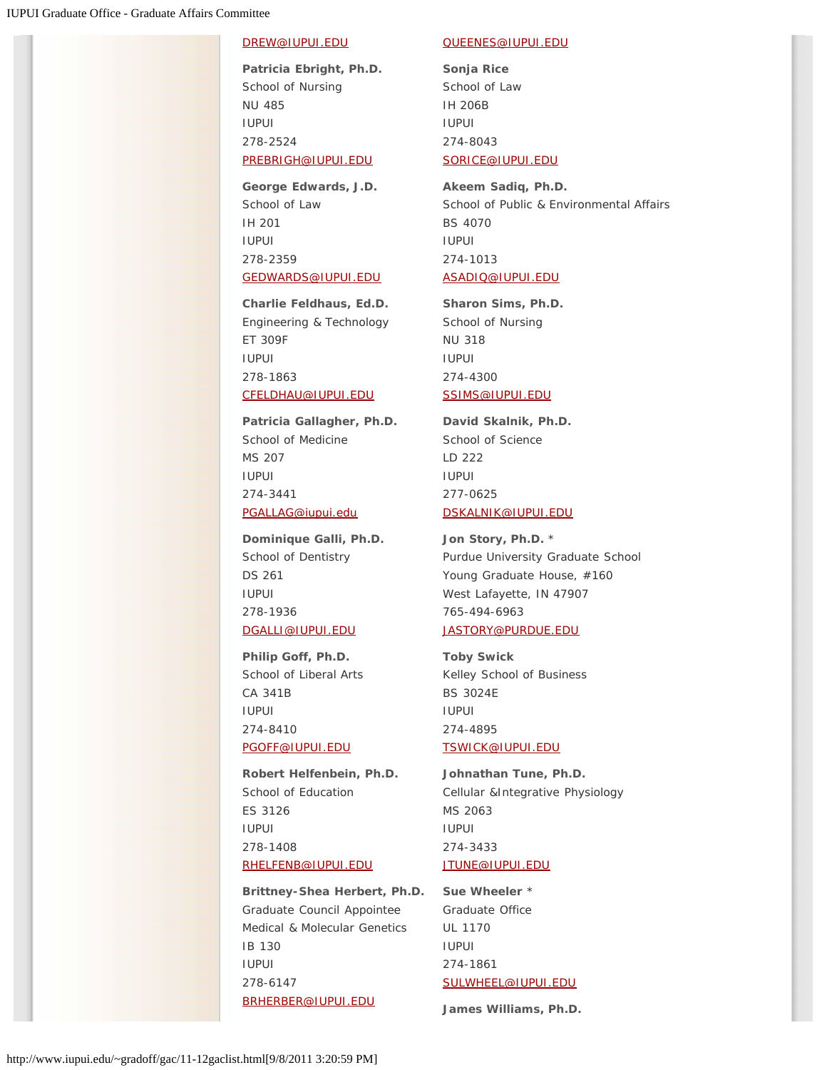## [DREW@IUPUI.EDU](mailto:DREW@IUPUI.EDU)

**Patricia Ebright, Ph.D.** School of Nursing NU 485 IUPUI 278-2524 [PREBRIGH@IUPUI.EDU](mailto:prebrigh@iupui.edu)

**George Edwards, J.D.** School of Law IH 201 IUPUI 278-2359 [GEDWARDS@IUPUI.EDU](mailto:GEDWARDS@IUPUI.EDU)

**Charlie Feldhaus, Ed.D.** Engineering & Technology ET 309F IUPUI 278-1863 [CFELDHAU@IUPUI.EDU](mailto:cfeldhau@IUPUI.EDU)

**Patricia Gallagher, Ph.D.** School of Medicine MS 207 IUPUI 274-3441 [PGALLAG@iupui.edu](mailto:PGALLAG@iupui.edu)

**Dominique Galli, Ph.D.** School of Dentistry DS 261 IUPUI 278-1936 [DGALLI@IUPUI.EDU](mailto:DGALLI@IUPUI.EDU)

**Philip Goff, Ph.D.** School of Liberal Arts CA 341B IUPUI 274-8410 [PGOFF@IUPUI.EDU](mailto:PGOFF@IUPUI.EDU)

**Robert Helfenbein, Ph.D.** School of Education ES 3126 IUPUI 278-1408 [RHELFENB@IUPUI.EDU](mailto:rhelfenb@IUPUI.EDU)

**Brittney-Shea Herbert, Ph.D.** Graduate Council Appointee Medical & Molecular Genetics IB 130 IUPUI 278-6147 [BRHERBER@IUPUI.EDU](mailto:BRHERBER@IUPUI.EDU)

## [QUEENES@IUPUI.EDU](mailto:QUEENES@IUPUI.EDU)

**Sonja Rice** School of Law IH 206B IUPUI 274-8043 [SORICE@IUPUI.EDU](mailto:SORICE@IUPUI.EDU)

**Akeem Sadiq, Ph.D.** School of Public & Environmental Affairs BS 4070 IUPUI 274-1013 [ASADIQ@IUPUI.EDU](mailto:ASADIQ@IUPUI.EDU)

**Sharon Sims, Ph.D.** School of Nursing NU 318 IUPUI 274-4300 [SSIMS@IUPUI.EDU](mailto:SSIMS@IUPUI.EDU)

**David Skalnik, Ph.D.** School of Science LD 222 IUPUI 277-0625 [DSKALNIK@IUPUI.EDU](mailto:dskalnik@iupui.edu)

**Jon Story, Ph.D.** \* Purdue University Graduate School Young Graduate House, #160 West Lafayette, IN 47907 765-494-6963 [JASTORY@PURDUE.EDU](mailto:JASTORY@PURDUE.EDU)

**Toby Swick** Kelley School of Business BS 3024E IUPUI 274-4895 [TSWICK@IUPUI.EDU](mailto:tswick@iupui.edu)

**Johnathan Tune, Ph.D.** Cellular &Integrative Physiology MS 2063 IUPUI 274-3433 [JTUNE@IUPUI.EDU](mailto:JTUNE@IUPUI.EDU)

**Sue Wheeler** \* Graduate Office UL 1170 IUPUI 274-1861 [SULWHEEL@IUPUI.EDU](mailto:sulwheel@IUPUI.EDU)

**James Williams, Ph.D.**